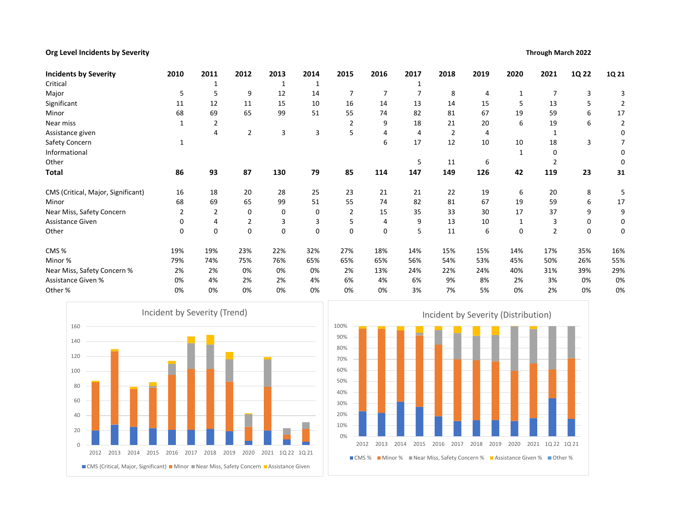# Org Level Incidents by Severity Through March 2022

| <b>Incidents by Severity</b>       | 2010           | 2011           | 2012           | 2013 | 2014     | 2015 | 2016           | 2017 | 2018           | 2019           | 2020 | 2021           | 1Q 22 | 1Q 21 |
|------------------------------------|----------------|----------------|----------------|------|----------|------|----------------|------|----------------|----------------|------|----------------|-------|-------|
| Critical                           |                |                |                | 1    |          |      |                |      |                |                |      |                |       |       |
| Major                              | 5              | 5              | 9              | 12   | 14       |      | $\overline{7}$ |      | 8              | 4              |      |                | 3     | 3     |
| Significant                        | 11             | 12             | 11             | 15   | 10       | 16   | 14             | 13   | 14             | 15             | 5    | 13             | 5     |       |
| Minor                              | 68             | 69             | 65             | 99   | 51       | 55   | 74             | 82   | 81             | 67             | 19   | 59             | 6     | 17    |
| Near miss                          |                | $\overline{2}$ |                |      |          | 2    | 9              | 18   | 21             | 20             | 6    | 19             | 6     | 2     |
| Assistance given                   |                | 4              | $\overline{2}$ | 3    | 3        | 5    | 4              | 4    | $\overline{2}$ | $\overline{4}$ |      |                |       | 0     |
| Safety Concern                     |                |                |                |      |          |      | 6              | 17   | 12             | 10             | 10   | 18             | 3     |       |
| Informational                      |                |                |                |      |          |      |                |      |                |                |      | $\Omega$       |       | 0     |
| Other                              |                |                |                |      |          |      |                | 5    | 11             | 6              |      |                |       | 0     |
| <b>Total</b>                       | 86             | 93             | 87             | 130  | 79       | 85   | 114            | 147  | 149            | 126            | 42   | 119            | 23    | 31    |
| CMS (Critical, Major, Significant) | 16             | 18             | 20             | 28   | 25       | 23   | 21             | 21   | 22             | 19             | 6    | 20             | 8     | 5     |
| Minor                              | 68             | 69             | 65             | 99   | 51       | 55   | 74             | 82   | 81             | 67             | 19   | 59             | 6     | 17    |
| Near Miss, Safety Concern          | $\overline{2}$ | $\overline{2}$ | 0              | 0    | $\Omega$ | 2    | 15             | 35   | 33             | 30             | 17   | 37             | 9     | 9     |
| Assistance Given                   | $\Omega$       | 4              |                | 3    | 3        |      | 4              | 9    | 13             | 10             |      |                | 0     | 0     |
| Other                              | 0              | 0              | 0              | 0    | 0        | 0    | 0              | 5    | 11             | 6              | 0    | $\overline{2}$ | 0     | 0     |
| CMS%                               | 19%            | 19%            | 23%            | 22%  | 32%      | 27%  | 18%            | 14%  | 15%            | 15%            | 14%  | 17%            | 35%   | 16%   |
| Minor %                            | 79%            | 74%            | 75%            | 76%  | 65%      | 65%  | 65%            | 56%  | 54%            | 53%            | 45%  | 50%            | 26%   | 55%   |
| Near Miss, Safety Concern %        | 2%             | 2%             | 0%             | 0%   | 0%       | 2%   | 13%            | 24%  | 22%            | 24%            | 40%  | 31%            | 39%   | 29%   |
| <b>Assistance Given %</b>          | 0%             | 4%             | 2%             | 2%   | 4%       | 6%   | 4%             | 6%   | 9%             | 8%             | 2%   | 3%             | 0%    | 0%    |
| Other %                            | 0%             | 0%             | 0%             | 0%   | 0%       | 0%   | 0%             | 3%   | 7%             | 5%             | 0%   | 2%             | 0%    | 0%    |



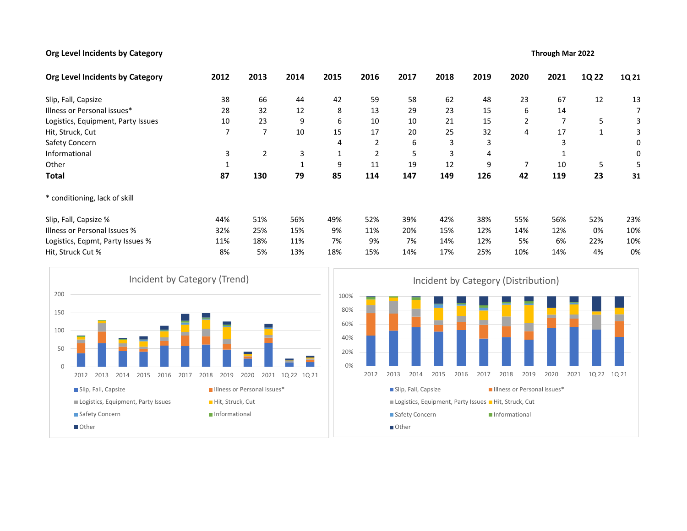# Org Level Incidents by Category **Through Mar 2022**

| Org Level Incidents by Category      | 2012                         | 2013                        | 2014             | 2015         | 2016           | 2017                | 2018 | 2019         | 2020                                                | 2021           | 1Q 22        | 1Q 21          |
|--------------------------------------|------------------------------|-----------------------------|------------------|--------------|----------------|---------------------|------|--------------|-----------------------------------------------------|----------------|--------------|----------------|
| Slip, Fall, Capsize                  | 38                           | 66                          | 44               | 42           | 59             | 58                  | 62   | 48           | 23                                                  | 67             | 12           | 13             |
| Illness or Personal issues*          | 28                           | 32                          | 12               | 8            | 13             | 29                  | 23   | 15           | 6                                                   | 14             |              | $\overline{7}$ |
| Logistics, Equipment, Party Issues   | 10                           | 23                          | 9                | 6            | 10             | 10                  | 21   | 15           | $\overline{2}$                                      | $\overline{7}$ | $\mathsf S$  | 3              |
| Hit, Struck, Cut                     | $\overline{7}$               | $\overline{7}$              | 10               | 15           | 17             | 20                  | 25   | 32           | 4                                                   | 17             | $\mathbf{1}$ | 3              |
| Safety Concern                       |                              |                             |                  | 4            | 2              | 6                   | 3    | 3            |                                                     | 3              |              | 0              |
| Informational                        | 3                            | $\overline{2}$              | 3                | $\mathbf{1}$ | $\overline{2}$ | 5                   | 3    | 4            |                                                     | 1              |              | 0              |
| Other                                | 1                            |                             | $\mathbf 1$      | 9            | 11             | 19                  | 12   | 9            | $\overline{7}$                                      | 10             | $\mathsf S$  | 5              |
| <b>Total</b>                         | 87                           | 130                         | 79               | 85           | 114            | 147                 | 149  | 126          | 42                                                  | 119            | 23           | 31             |
| * conditioning, lack of skill        |                              |                             |                  |              |                |                     |      |              |                                                     |                |              |                |
| Slip, Fall, Capsize %                | 44%                          | 51%                         | 56%              | 49%          | 52%            | 39%                 | 42%  | 38%          | 55%                                                 | 56%            | 52%          | 23%            |
| Illness or Personal Issues %         | 32%                          | 25%                         | 15%              | 9%           | 11%            | 20%                 | 15%  | 12%          | 14%                                                 | 12%            | 0%           | 10%            |
| Logistics, Eqpmt, Party Issues %     | 11%                          | 18%                         | 11%              | 7%           | 9%             | 7%                  | 14%  | 12%          | 5%                                                  | 6%             | 22%          | 10%            |
| Hit, Struck Cut %                    | 8%                           | 5%                          | 13%              | 18%          | 15%            | 14%                 | 17%  | 25%          | 10%                                                 | 14%            | 4%           | 0%             |
|                                      | Incident by Category (Trend) |                             |                  |              |                |                     |      |              | Incident by Category (Distribution)                 |                |              |                |
| 200                                  |                              |                             |                  | 100%         |                |                     |      |              |                                                     |                |              |                |
| 150                                  |                              |                             |                  | 80%          |                |                     |      |              |                                                     |                |              |                |
| 100                                  |                              |                             |                  | 60%          |                |                     |      |              |                                                     |                |              |                |
|                                      |                              |                             |                  | 40%          |                |                     |      |              |                                                     |                |              |                |
| 50                                   |                              |                             |                  | 20%          |                |                     |      |              |                                                     |                |              |                |
| $\mathbf 0$                          |                              |                             |                  | 0%           |                |                     |      |              |                                                     |                |              |                |
| 2013<br>2014<br>2015<br>2016<br>2012 | 2017<br>2018<br>2019         | 2020                        | 2021 10 22 10 21 |              | 2012           | 2013<br>2014        | 2015 | 2016<br>2017 | 2018<br>2019                                        | 2020           | 2021         | 10 22 10 21    |
| Slip, Fall, Capsize                  |                              | Illness or Personal issues* |                  |              |                | Slip, Fall, Capsize |      |              | Illness or Personal issues*                         |                |              |                |
| Logistics, Equipment, Party Issues   | Hit, Struck, Cut             |                             |                  |              |                |                     |      |              | Logistics, Equipment, Party Issues Hit, Struck, Cut |                |              |                |
| Safety Concern                       | Informational                |                             |                  |              |                | Safety Concern      |      |              | Informational                                       |                |              |                |
| Other                                |                              |                             |                  |              |                | Other               |      |              |                                                     |                |              |                |
|                                      |                              |                             |                  |              |                |                     |      |              |                                                     |                |              |                |



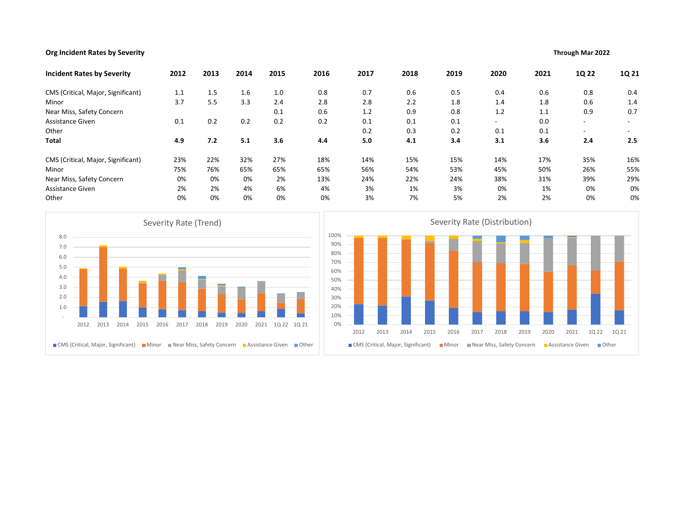### Org Incident Rates by Severity Through Mar 2022

| <b>Incident Rates by Severity</b>                                                                                                                                                               | 2012                                  | 2013         | 2014 | 2015                | 2016                                                                      | 2017         | 2018                                       | 2019                                                  | 2020                                      | 2021         | 1Q 22                                   | 1Q 21                    |
|-------------------------------------------------------------------------------------------------------------------------------------------------------------------------------------------------|---------------------------------------|--------------|------|---------------------|---------------------------------------------------------------------------|--------------|--------------------------------------------|-------------------------------------------------------|-------------------------------------------|--------------|-----------------------------------------|--------------------------|
| CMS (Critical, Major, Significant)                                                                                                                                                              | 1.1                                   | 1.5          | 1.6  | 1.0                 | 0.8                                                                       | 0.7          | 0.6                                        | 0.5                                                   | 0.4                                       | 0.6          | 0.8                                     | 0.4                      |
| Minor                                                                                                                                                                                           | 3.7                                   | 5.5          | 3.3  | 2.4                 | 2.8                                                                       | 2.8          | 2.2                                        | 1.8                                                   | 1.4                                       | 1.8          | 0.6                                     | 1.4                      |
| Near Miss, Safety Concern                                                                                                                                                                       |                                       |              |      | 0.1                 | 0.6                                                                       | 1.2          | 0.9                                        | 0.8                                                   | 1.2                                       | 1.1          | 0.9                                     | 0.7                      |
| Assistance Given                                                                                                                                                                                | 0.1                                   | 0.2          | 0.2  | 0.2                 | 0.2                                                                       | 0.1          | $0.1\,$                                    | 0.1                                                   | $\overline{\phantom{a}}$                  | 0.0          |                                         | $\overline{\phantom{a}}$ |
| Other                                                                                                                                                                                           |                                       |              |      |                     |                                                                           | 0.2          | 0.3                                        | 0.2                                                   | 0.1                                       | 0.1          |                                         |                          |
| <b>Total</b>                                                                                                                                                                                    | 4.9                                   | 7.2          | 5.1  | 3.6                 | 4.4                                                                       | $5.0$        | 4.1                                        | 3.4                                                   | 3.1                                       | 3.6          | 2.4                                     | $2.5\,$                  |
| CMS (Critical, Major, Significant)                                                                                                                                                              | 23%                                   | 22%          | 32%  | 27%                 | 18%                                                                       | 14%          | 15%                                        | 15%                                                   | 14%                                       | 17%          | 35%                                     | 16%                      |
| Minor                                                                                                                                                                                           | 75%                                   | 76%          | 65%  | 65%                 | 65%                                                                       | 56%          | 54%                                        | 53%                                                   | 45%                                       | 50%          | 26%                                     | 55%                      |
| Near Miss, Safety Concern                                                                                                                                                                       | 0%                                    | 0%           | 0%   | 2%                  | 13%                                                                       | 24%          | 22%                                        | 24%                                                   | 38%                                       | 31%          | 39%                                     | 29%                      |
| Assistance Given                                                                                                                                                                                | 2%                                    | 2%           | 4%   | 6%                  | 4%                                                                        | 3%           | 1%                                         | 3%                                                    | 0%                                        | 1%           | 0%                                      | 0%                       |
| Other                                                                                                                                                                                           | 0%                                    | 0%           | 0%   | 0%                  | 0%                                                                        | 3%           | 7%                                         | 5%                                                    | 2%                                        | 2%           | 0%                                      | 0%                       |
| 8.0<br>7.0<br>6.0<br>5.0<br>4.0<br>3.0<br>2.0<br>$1.0\,$<br>2013<br>2014<br>2015<br>2012<br>■ CMS (Critical, Major, Significant) ■ Minor ■ Near Miss, Safety Concern ■ Assistance Given ■ Other | Severity Rate (Trend)<br>2016<br>2017 | 2018<br>2019 | 2020 | 2021<br>1Q 22 1Q 21 | 100%<br>90%<br>80%<br>70%<br>60%<br>50%<br>40%<br>30%<br>20%<br>10%<br>0% | 2013<br>2012 | 2014<br>CMS (Critical, Major, Significant) | Severity Rate (Distribution)<br>2015<br>2016<br>Minor | 2017<br>2018<br>Near Miss, Safety Concern | 2019<br>2020 | 2021<br>1Q 22<br>Assistance Given Other | 1Q 21                    |